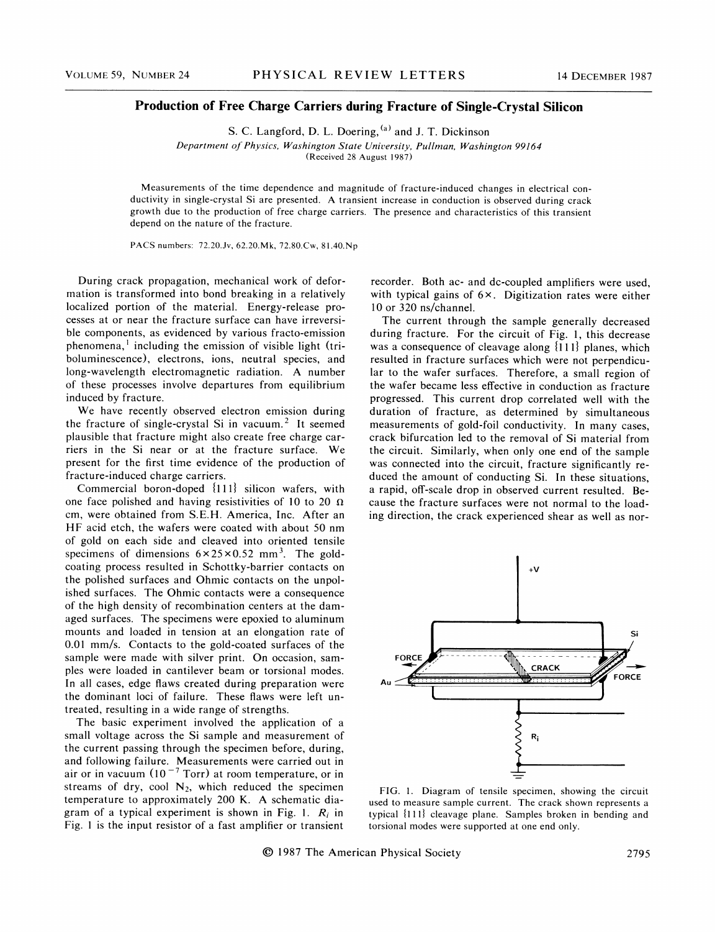## Production of Free Charge Carriers during Fracture of Single-Crystal Silicon

S. C. Langford, D. L. Doering, <sup>(a)</sup> and J. T. Dickinson Department of Physics, Washington State University, Pullman, Washington 99I64 (Received 28 August 1987)

Measurements of the time dependence and magnitude of fracture-induced changes in electrical conductivity in single-crystal Si are presented. A transient increase in conduction is observed during crack growth due to the production of free charge carriers. The presence and characteristics of this transient depend on the nature of the fracture.

PACS numbers: 72.20.3v, 62.20.Mk, 72.80.Cw, 81.40.Np

During crack propagation, mechanical work of deformation is transformed into bond breaking in a relatively localized portion of the material. Energy-release processes at or near the fracture surface can have irreversible components, as evidenced by various fracto-emission phenomena, including the emission of visible light (triboluminescence), electrons, ions, neutral species, and long-wavelength electromagnetic radiation. A number of these processes involve departures from equilibrium induced by fracture.

We have recently observed electron emission during the fracture of single-crystal Si in vacuum.<sup>2</sup> It seemed plausible that fracture might also create free charge carriers in the Si near or at the fracture surface. We present for the first time evidence of the production of fracture-induced charge carriers.

Commercial boron-doped  $\{111\}$  silicon wafers, with one face polished and having resistivities of 10 to 20  $\Omega$ cm, were obtained from S.E.H. America, Inc. After an HF acid etch, the wafers were coated with about 50 nm of gold on each side and cleaved into oriented tensile specimens of dimensions  $6 \times 25 \times 0.52$  mm<sup>3</sup>. The goldcoating process resulted in Schottky-barrier contacts on the polished surfaces and Ohmic contacts on the unpolished surfaces. The Ohmic contacts were a consequence of the high density of recombination centers at the damaged surfaces. The specimens were epoxied to aluminum mounts and loaded in tension at an elongation rate of 0.01 mm/s. Contacts to the gold-coated surfaces of the sample were made with silver print. On occasion, samples were loaded in cantilever beam or torsional modes. In all cases, edge flaws created during preparation were the dominant loci of failure. These flaws were left untreated, resulting in a wide range of strengths.

The basic experiment involved the application of a small voltage across the Si sample and measurement of the current passing through the specimen before, during, and following failure. Measurements were carried out in air or in vacuum  $(10^{-7} \text{ Torr})$  at room temperature, or in streams of dry, cool  $N_2$ , which reduced the specimen temperature to approximately 200 K. A schematic diagram of a typical experiment is shown in Fig. 1.  $R_i$  in Fig. <sup>1</sup> is the input resistor of a fast amplifier or transient

recorder. Both ac- and dc-coupled amplifiers were used, with typical gains of  $6 \times$ . Digitization rates were either 10 or 320 ns/channel.

The current through the sample generally decreased during fracture. For the circuit of Fig. 1, this decrease was a consequence of cleavage along  $\{111\}$  planes, which resulted in fracture surfaces which were not perpendicular to the wafer surfaces. Therefore, a small region of the wafer became less effective in conduction as fracture progressed. This current drop correlated well with the duration of fracture, as determined by simultaneous measurements of gold-foil conductivity. In many cases, crack bifurcation led to the removal of Si material from the circuit. Similarly, when only one end of the sample was connected into the circuit, fracture significantly reduced the amount of conducting Si. In these situations, a rapid, off-scale drop in observed current resulted. Because the fracture surfaces were not normal to the loading direction, the crack experienced shear as well as nor-



FIG. 1. Diagram of tensile specimen, showing the circuit used to measure sample current. The crack shown represents a typical {111} cleavage plane. Samples broken in bending and torsional modes were supported at one end only.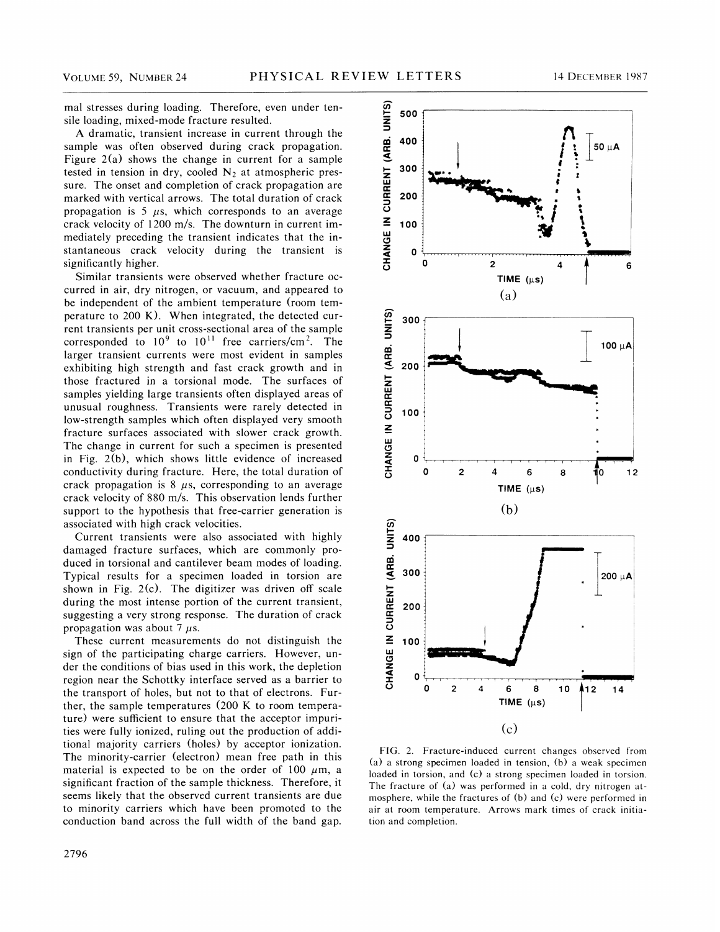mal stresses during loading. Therefore, even under tensile loading, mixed-mode fracture resulted.

A dramatic, transient increase in current through the sample was often observed during crack propagation. Figure  $2(a)$  shows the change in current for a sample tested in tension in dry, cooled  $N_2$  at atmospheric pressure. The onset and completion of crack propagation are marked with vertical arrows. The total duration of crack propagation is 5  $\mu$ s, which corresponds to an average crack velocity of 1200 m/s. The downturn in current immediately preceding the transient indicates that the instantaneous crack velocity during the transient is significantly higher.

Similar transients were observed whether fracture occurred in air, dry nitrogen, or vacuum, and appeared to be independent of the ambient temperature (room temperature to 200 K). When integrated, the detected current transients per unit cross-sectional area of the sample corresponded to  $10^9$  to  $10^{11}$  free carriers/cm<sup>2</sup>. The larger transient currents were most evident in samples exhibiting high strength and fast crack growth and in those fractured in a torsional mode. The surfaces of samples yielding large transients often displayed areas of unusual roughness. Transients were rarely detected in low-strength samples which often displayed very smooth fracture surfaces associated with slower crack growth. The change in current for such a specimen is presented in Fig. 2(b), which shows little evidence of increased conductivity during fracture. Here, the total duration of crack propagation is  $8 \mu s$ , corresponding to an average crack velocity of 880 m/s. This observation lends further support to the hypothesis that free-carrier generation is associated with high crack velocities.

Current transients were also associated with highly damaged fracture surfaces, which are commonly produced in torsional and cantilever beam modes of loading. Typical results for a specimen loaded in torsion are shown in Fig. 2(c). The digitizer was driven off scale during the most intense portion of the current transient, suggesting a very strong response. The duration of crack propagation was about 7  $\mu$ s.

These current measurements do not distinguish the sign of the participating charge carriers. However, under the conditions of bias used in this work, the depletion region near the Schottky interface served as a barrier to the transport of holes, but not to that of electrons. Further, the sample temperatures (200 K to room temperature) were sufficient to ensure that the acceptor impurities were fully ionized, ruling out the production of additional majority carriers (holes) by acceptor ionization. The minority-carrier (electron) mean free path in this material is expected to be on the order of 100  $\mu$ m, a significant fraction of the sample thickness. Therefore, it seems likely that the observed current transients are due to minority carriers which have been promoted to the conduction band across the full width of the band gap.



FIG. 2. Fracture-induced current changes observed from (a) a strong specimen loaded in tension, (b) a weak specimen loaded in torsion, and (c) a strong specimen loaded in torsion. The fracture of (a) was performed in a cold, dry nitrogen atmosphere, while the fractures of (b) and (c) were performed in air at room temperature. Arrows mark times of crack initiation and completion.